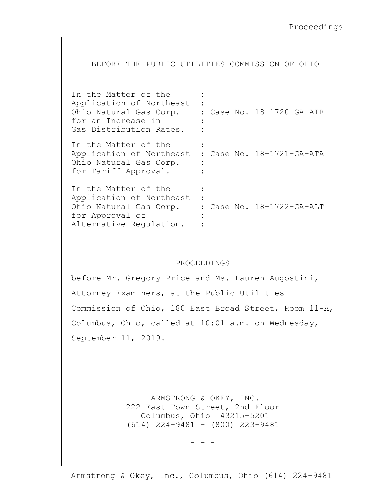BEFORE THE PUBLIC UTILITIES COMMISSION OF OHIO - - - In the Matter of the : Application of Northeast : Ohio Natural Gas Corp. : Case No. 18-1720-GA-AIR for an Increase in Gas Distribution Rates. : In the Matter of the Application of Northeast : Case No. 18-1721-GA-ATA Ohio Natural Gas Corp. : for Tariff Approval. : In the Matter of the Application of Northeast : Ohio Natural Gas Corp. : Case No. 18-1722-GA-ALT for Approval of Alternative Requlation. : - - - PROCEEDINGS before Mr. Gregory Price and Ms. Lauren Augostini, Attorney Examiners, at the Public Utilities Commission of Ohio, 180 East Broad Street, Room 11-A, Columbus, Ohio, called at 10:01 a.m. on Wednesday, September 11, 2019. - - - ARMSTRONG & OKEY, INC. 222 East Town Street, 2nd Floor Columbus, Ohio 43215-5201 (614) 224-9481 - (800) 223-9481

- - -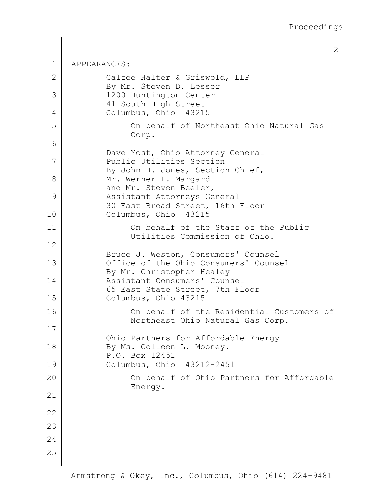2

1 APPEARANCES: 2 Calfee Halter & Griswold, LLP By Mr. Steven D. Lesser 3 1200 Huntington Center 41 South High Street 4 Columbus, Ohio 43215 5 On behalf of Northeast Ohio Natural Gas Corp. 6 Dave Yost, Ohio Attorney General 7 Public Utilities Section By John H. Jones, Section Chief, 8 Mr. Werner L. Margard and Mr. Steven Beeler, 9 Assistant Attorneys General 30 East Broad Street, 16th Floor 10 Columbus, Ohio 43215 11 On behalf of the Staff of the Public Utilities Commission of Ohio. 12 Bruce J. Weston, Consumers' Counsel 13 Office of the Ohio Consumers' Counsel By Mr. Christopher Healey 14 Assistant Consumers' Counsel 65 East State Street, 7th Floor 15 Columbus, Ohio 43215 16 On behalf of the Residential Customers of Northeast Ohio Natural Gas Corp. 17 Ohio Partners for Affordable Energy 18 By Ms. Colleen L. Mooney. P.O. Box 12451 19 Columbus, Ohio 43212-2451 20 On behalf of Ohio Partners for Affordable Energy. 21 - - - 22 23 24 25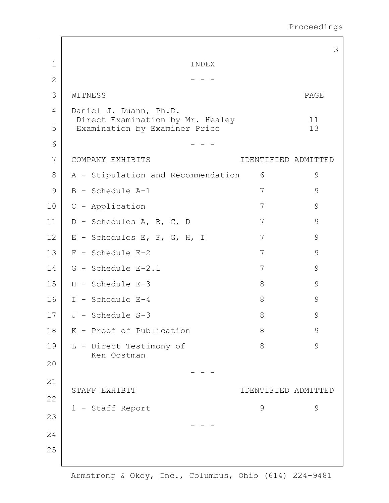Proceedings

|              |                                                                   |                     | 3             |
|--------------|-------------------------------------------------------------------|---------------------|---------------|
| $\mathbf 1$  | INDEX                                                             |                     |               |
| $\mathbf{2}$ |                                                                   |                     |               |
| 3            | WITNESS                                                           |                     | PAGE          |
| 4            | Daniel J. Duann, Ph.D.                                            |                     |               |
| 5            | Direct Examination by Mr. Healey<br>Examination by Examiner Price |                     | 11<br>13      |
| 6            |                                                                   |                     |               |
| 7            | COMPANY EXHIBITS                                                  | IDENTIFIED ADMITTED |               |
| 8            | A - Stipulation and Recommendation                                | 6                   | 9             |
| 9            | B - Schedule A-1                                                  | 7                   | 9             |
| 10           | C - Application                                                   | 7                   | 9             |
| 11           | D - Schedules A, B, C, D                                          | 7                   | 9             |
| 12           | E - Schedules E, F, G, H, I                                       | 7                   | $\mathsf 9$   |
| 13           | $F - Schedule E-2$                                                | 7                   | $\mathsf 9$   |
| 14           | G - Schedule E-2.1                                                | 7                   | $\mathsf 9$   |
| 15           | H - Schedule E-3                                                  | 8                   | 9             |
| 16           | I - Schedule E-4                                                  | 8                   | 9             |
| 17           | J - Schedule S-3                                                  | 8                   | 9             |
| 18           | K - Proof of Publication                                          | 8                   | $\mathcal{G}$ |
| 19           | L - Direct Testimony of<br>Ken Oostman                            | 8                   | 9             |
| 20           |                                                                   |                     |               |
| 21           |                                                                   |                     |               |
| 22           | STAFF EXHIBIT                                                     | IDENTIFIED ADMITTED |               |
| 23           | 1 - Staff Report                                                  | 9                   | 9             |
|              |                                                                   |                     |               |
| 24           |                                                                   |                     |               |
| 25           |                                                                   |                     |               |

 $\mathbf{r}$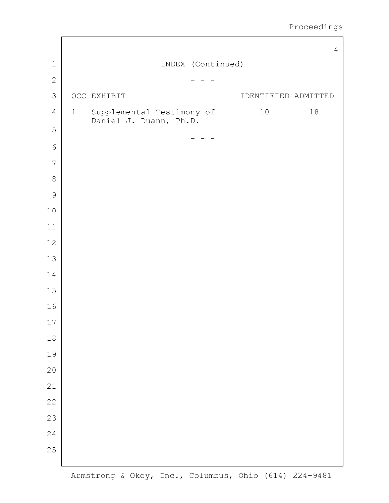|                |                                                         |                   |                     | $\overline{4}$ |
|----------------|---------------------------------------------------------|-------------------|---------------------|----------------|
| $\mathbf 1$    |                                                         | INDEX (Continued) |                     |                |
| $\mathbf{2}$   |                                                         |                   |                     |                |
| $\mathcal{S}$  | OCC EXHIBIT                                             |                   | IDENTIFIED ADMITTED |                |
| $\sqrt{4}$     | 1 - Supplemental Testimony of<br>Daniel J. Duann, Ph.D. |                   | 10                  | $18\,$         |
| 5              |                                                         |                   |                     |                |
| $\sqrt{6}$     |                                                         |                   |                     |                |
| $\overline{7}$ |                                                         |                   |                     |                |
| $\,8\,$        |                                                         |                   |                     |                |
| $\mathcal{G}$  |                                                         |                   |                     |                |
| $10$           |                                                         |                   |                     |                |
| $11\,$         |                                                         |                   |                     |                |
| 12             |                                                         |                   |                     |                |
| 13             |                                                         |                   |                     |                |
| 14             |                                                         |                   |                     |                |
| 15             |                                                         |                   |                     |                |
| 16             |                                                         |                   |                     |                |
| $17$           |                                                         |                   |                     |                |
| $18\,$         |                                                         |                   |                     |                |
| 19             |                                                         |                   |                     |                |
| 20             |                                                         |                   |                     |                |
| 21             |                                                         |                   |                     |                |
| 22             |                                                         |                   |                     |                |
| 23             |                                                         |                   |                     |                |
| $2\sqrt{4}$    |                                                         |                   |                     |                |
| 25             |                                                         |                   |                     |                |
|                |                                                         |                   |                     |                |

 $\Box$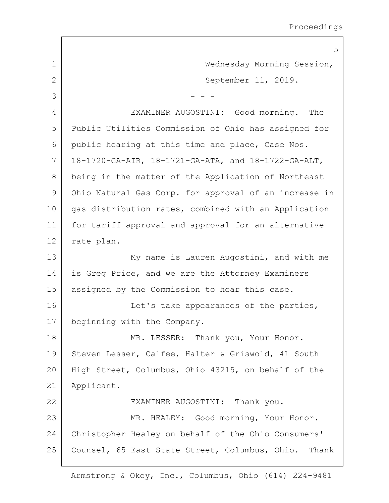|              | 5                                                     |
|--------------|-------------------------------------------------------|
| $\mathbf 1$  | Wednesday Morning Session,                            |
| $\mathbf{2}$ | September 11, 2019.                                   |
| 3            |                                                       |
| 4            | EXAMINER AUGOSTINI: Good morning.<br>The              |
| 5            | Public Utilities Commission of Ohio has assigned for  |
| 6            | public hearing at this time and place, Case Nos.      |
| 7            | 18-1720-GA-AIR, 18-1721-GA-ATA, and 18-1722-GA-ALT,   |
| 8            | being in the matter of the Application of Northeast   |
| 9            | Ohio Natural Gas Corp. for approval of an increase in |
| 10           | gas distribution rates, combined with an Application  |
| 11           | for tariff approval and approval for an alternative   |
| 12           | rate plan.                                            |
| 13           | My name is Lauren Augostini, and with me              |
| 14           | is Greg Price, and we are the Attorney Examiners      |
| 15           | assigned by the Commission to hear this case.         |
| 16           | Let's take appearances of the parties,                |
| 17           | beginning with the Company.                           |
| 18           | MR. LESSER: Thank you, Your Honor.                    |
| 19           | Steven Lesser, Calfee, Halter & Griswold, 41 South    |
| 20           | High Street, Columbus, Ohio 43215, on behalf of the   |
| 21           | Applicant.                                            |
| 22           | EXAMINER AUGOSTINI: Thank you.                        |
| 23           | MR. HEALEY: Good morning, Your Honor.                 |
| 24           | Christopher Healey on behalf of the Ohio Consumers'   |
| 25           | Counsel, 65 East State Street, Columbus, Ohio. Thank  |
|              |                                                       |

 $\Gamma$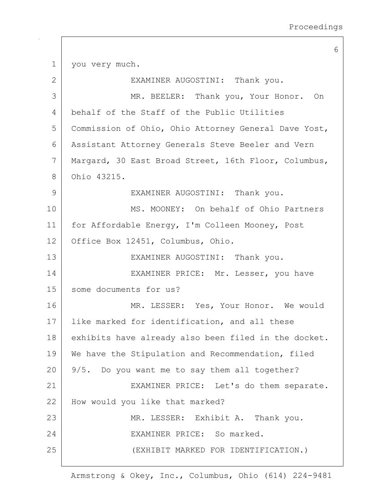6 1 | you very much. 2 | EXAMINER AUGOSTINI: Thank you. 3 MR. BEELER: Thank you, Your Honor. On 4 behalf of the Staff of the Public Utilities 5 Commission of Ohio, Ohio Attorney General Dave Yost, 6 Assistant Attorney Generals Steve Beeler and Vern 7 Margard, 30 East Broad Street, 16th Floor, Columbus, 8 Ohio 43215. 9 | EXAMINER AUGOSTINI: Thank you. 10 MS. MOONEY: On behalf of Ohio Partners 11 for Affordable Energy, I'm Colleen Mooney, Post 12 Office Box 12451, Columbus, Ohio. 13 | EXAMINER AUGOSTINI: Thank you. 14 EXAMINER PRICE: Mr. Lesser, you have 15 some documents for us? 16 MR. LESSER: Yes, Your Honor. We would 17 | like marked for identification, and all these 18 exhibits have already also been filed in the docket. 19 | We have the Stipulation and Recommendation, filed  $20$  | 9/5. Do you want me to say them all together? 21 | EXAMINER PRICE: Let's do them separate. 22 How would you like that marked? 23 MR. LESSER: Exhibit A. Thank you. 24 EXAMINER PRICE: So marked. 25 (EXHIBIT MARKED FOR IDENTIFICATION.)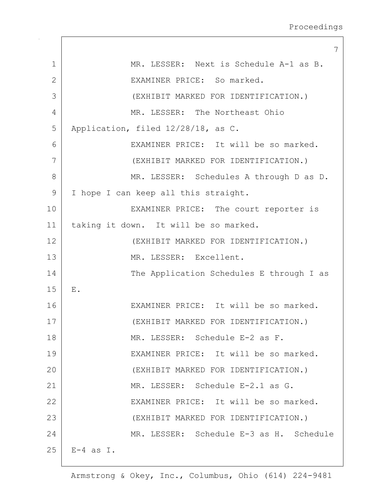|                | 7                                        |
|----------------|------------------------------------------|
| $\mathbf 1$    | MR. LESSER: Next is Schedule A-1 as B.   |
| $\overline{2}$ | EXAMINER PRICE: So marked.               |
| 3              | (EXHIBIT MARKED FOR IDENTIFICATION.)     |
| 4              | MR. LESSER: The Northeast Ohio           |
| 5              | Application, filed 12/28/18, as C.       |
| 6              | EXAMINER PRICE: It will be so marked.    |
| 7              | (EXHIBIT MARKED FOR IDENTIFICATION.)     |
| 8              | MR. LESSER: Schedules A through D as D.  |
| 9              | I hope I can keep all this straight.     |
| 10             | EXAMINER PRICE: The court reporter is    |
| 11             | taking it down. It will be so marked.    |
| 12             | (EXHIBIT MARKED FOR IDENTIFICATION.)     |
| 13             | MR. LESSER: Excellent.                   |
| 14             | The Application Schedules E through I as |
| 15             | ${\bf E}$ .                              |
| 16             | EXAMINER PRICE: It will be so marked.    |
| 17             | (EXHIBIT MARKED FOR IDENTIFICATION.)     |
| 18             | MR. LESSER: Schedule E-2 as F.           |
| 19             | EXAMINER PRICE: It will be so marked.    |
| 20             | (EXHIBIT MARKED FOR IDENTIFICATION.)     |
| 21             | MR. LESSER: Schedule E-2.1 as G.         |
| 22             | EXAMINER PRICE: It will be so marked.    |
| 23             | (EXHIBIT MARKED FOR IDENTIFICATION.)     |
| 24             | MR. LESSER: Schedule E-3 as H. Schedule  |
| 25             | $E-4$ as I.                              |
|                |                                          |

 $\mathsf{I}$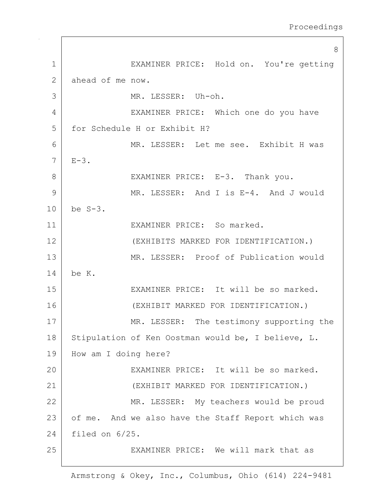8 1 EXAMINER PRICE: Hold on. You're getting 2 ahead of me now. 3 | MR. LESSER: Uh-oh. 4 | EXAMINER PRICE: Which one do you have 5 for Schedule H or Exhibit H? 6 MR. LESSER: Let me see. Exhibit H was  $7 \mid E-3$ . 8 | EXAMINER PRICE: E-3. Thank you. 9 MR. LESSER: And I is E-4. And J would 10 be S-3. 11 EXAMINER PRICE: So marked. 12 (EXHIBITS MARKED FOR IDENTIFICATION.) 13 MR. LESSER: Proof of Publication would 14 be K. 15 EXAMINER PRICE: It will be so marked. 16 (EXHIBIT MARKED FOR IDENTIFICATION.) 17 MR. LESSER: The testimony supporting the 18 Stipulation of Ken Oostman would be, I believe, L. 19 | How am I doing here? 20 EXAMINER PRICE: It will be so marked. 21 (EXHIBIT MARKED FOR IDENTIFICATION.) 22 | MR. LESSER: My teachers would be proud 23 of me. And we also have the Staff Report which was 24 filed on 6/25. 25 EXAMINER PRICE: We will mark that as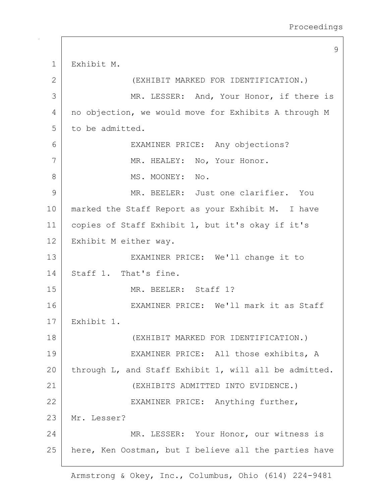9 1 Exhibit M. 2 (EXHIBIT MARKED FOR IDENTIFICATION.) 3 MR. LESSER: And, Your Honor, if there is 4 | no objection, we would move for Exhibits A through M 5 to be admitted. 6 EXAMINER PRICE: Any objections? 7 | MR. HEALEY: No, Your Honor. 8 MS. MOONEY: No. 9 MR. BEELER: Just one clarifier. You 10 | marked the Staff Report as your Exhibit M. I have 11 copies of Staff Exhibit 1, but it's okay if it's 12 Exhibit M either way. 13 | EXAMINER PRICE: We'll change it to 14 Staff 1. That's fine. 15 MR. BEELER: Staff 1? 16 EXAMINER PRICE: We'll mark it as Staff 17 Exhibit 1. 18 (EXHIBIT MARKED FOR IDENTIFICATION.) 19 EXAMINER PRICE: All those exhibits, A 20 through L, and Staff Exhibit 1, will all be admitted. 21 (EXHIBITS ADMITTED INTO EVIDENCE.) 22 EXAMINER PRICE: Anything further, 23 Mr. Lesser? 24 MR. LESSER: Your Honor, our witness is 25 | here, Ken Oostman, but I believe all the parties have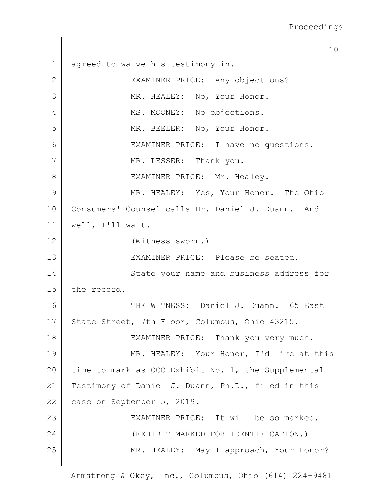10 1 agreed to waive his testimony in. 2 EXAMINER PRICE: Any objections? 3 MR. HEALEY: No, Your Honor. 4 | MS. MOONEY: No objections. 5 MR. BEELER: No, Your Honor. 6 EXAMINER PRICE: I have no questions. 7 | MR. LESSER: Thank you. 8 | EXAMINER PRICE: Mr. Healey. 9 MR. HEALEY: Yes, Your Honor. The Ohio 10 | Consumers' Counsel calls Dr. Daniel J. Duann. And --11 well, I'll wait. 12 (Witness sworn.) 13 EXAMINER PRICE: Please be seated. 14 State your name and business address for 15 the record. 16 THE WITNESS: Daniel J. Duann. 65 East 17 State Street, 7th Floor, Columbus, Ohio 43215. 18 | EXAMINER PRICE: Thank you very much. 19 MR. HEALEY: Your Honor, I'd like at this 20 time to mark as OCC Exhibit No. 1, the Supplemental 21 | Testimony of Daniel J. Duann, Ph.D., filed in this 22 case on September 5, 2019. 23 EXAMINER PRICE: It will be so marked. 24 (EXHIBIT MARKED FOR IDENTIFICATION.) 25 | MR. HEALEY: May I approach, Your Honor?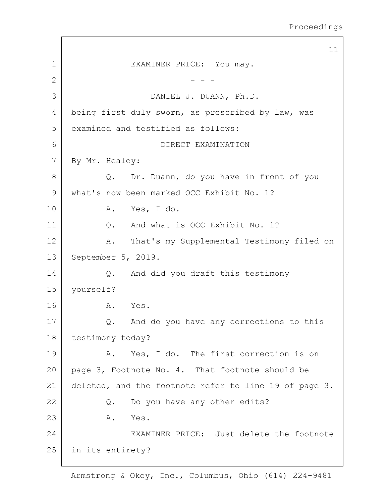11 1 EXAMINER PRICE: You may. 2  $-$  -  $-$ 3 DANIEL J. DUANN, Ph.D. 4 being first duly sworn, as prescribed by law, was 5 examined and testified as follows: 6 DIRECT EXAMINATION 7 By Mr. Healey: 8 Q. Dr. Duann, do you have in front of you 9 what's now been marked OCC Exhibit No. 1? 10 A. Yes, I do. 11 | C. And what is OCC Exhibit No. 1? 12 A. That's my Supplemental Testimony filed on 13 | September 5, 2019. 14 Q. And did you draft this testimony 15 yourself? 16 A. Yes. 17 Q. And do you have any corrections to this 18 | testimony today? 19 A. Yes, I do. The first correction is on 20 page 3, Footnote No. 4. That footnote should be 21 deleted, and the footnote refer to line 19 of page 3. 22 Q. Do you have any other edits? 23 A. Yes. 24 EXAMINER PRICE: Just delete the footnote 25 in its entirety?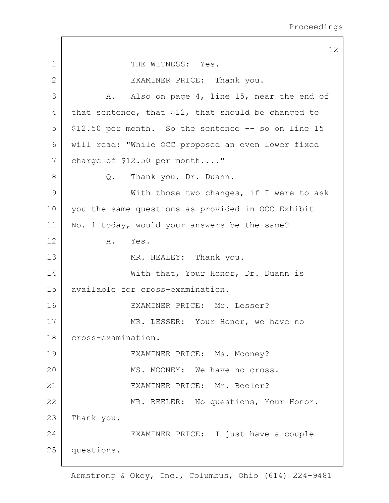12 1 THE WITNESS: Yes. 2 EXAMINER PRICE: Thank you. 3 A. Also on page 4, line 15, near the end of 4 that sentence, that  $$12$ , that should be changed to  $5$  \$12.50 per month. So the sentence  $-$  so on line 15 6 will read: "While OCC proposed an even lower fixed 7 charge of \$12.50 per month...." 8 Q. Thank you, Dr. Duann. 9 With those two changes, if I were to ask 10 you the same questions as provided in OCC Exhibit 11 | No. 1 today, would your answers be the same? 12 A. Yes. 13 MR. HEALEY: Thank you. 14 | With that, Your Honor, Dr. Duann is 15 available for cross-examination. 16 EXAMINER PRICE: Mr. Lesser? 17 MR. LESSER: Your Honor, we have no 18 cross-examination. 19 | EXAMINER PRICE: Ms. Mooney? 20 MS. MOONEY: We have no cross. 21 EXAMINER PRICE: Mr. Beeler? 22 MR. BEELER: No questions, Your Honor. 23 Thank you. 24 EXAMINER PRICE: I just have a couple 25 questions.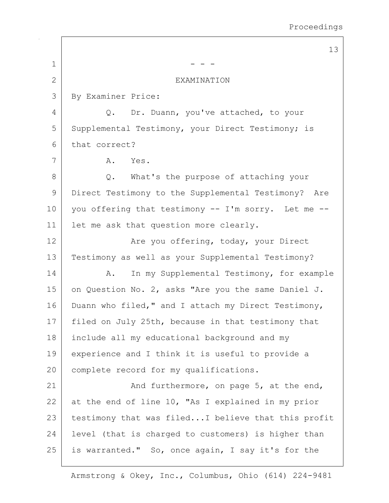$\overline{\phantom{0}}$ 

|                | 13                                                  |
|----------------|-----------------------------------------------------|
| $\mathbf 1$    |                                                     |
| $\overline{2}$ | <b>EXAMINATION</b>                                  |
| 3              | By Examiner Price:                                  |
| 4              | Q. Dr. Duann, you've attached, to your              |
| 5              | Supplemental Testimony, your Direct Testimony; is   |
| 6              | that correct?                                       |
| 7              | Α.<br>Yes.                                          |
| 8              | What's the purpose of attaching your<br>Q.          |
| 9              | Direct Testimony to the Supplemental Testimony? Are |
| 10             | you offering that testimony -- I'm sorry. Let me -- |
| 11             | let me ask that question more clearly.              |
| 12             | Are you offering, today, your Direct                |
| 13             | Testimony as well as your Supplemental Testimony?   |
| 14             | In my Supplemental Testimony, for example<br>Α.     |
| 15             | on Question No. 2, asks "Are you the same Daniel J. |
| 16             | Duann who filed," and I attach my Direct Testimony, |
| 17             | filed on July 25th, because in that testimony that  |
| 18             | include all my educational background and my        |
| 19             | experience and I think it is useful to provide a    |
| 20             | complete record for my qualifications.              |
| 21             | And furthermore, on page 5, at the end,             |
| 22             | at the end of line 10, "As I explained in my prior  |
| 23             | testimony that was filedI believe that this profit  |
| 24             | level (that is charged to customers) is higher than |
| 25             | is warranted." So, once again, I say it's for the   |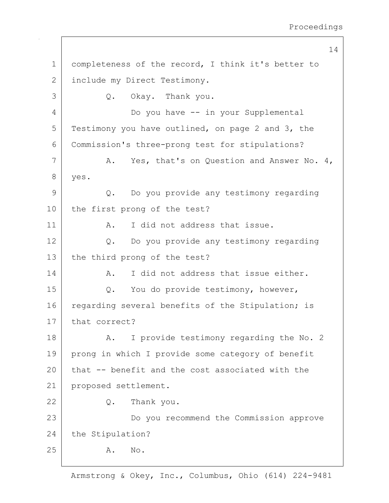14 1 completeness of the record, I think it's better to 2 include my Direct Testimony. 3 Q. Okay. Thank you. 4 Do you have -- in your Supplemental 5 Testimony you have outlined, on page 2 and 3, the 6 Commission's three-prong test for stipulations? 7 A. Yes, that's on Question and Answer No. 4, 8 yes. 9 Q. Do you provide any testimony regarding 10 the first prong of the test? 11 | A. I did not address that issue. 12 Q. Do you provide any testimony regarding 13 the third prong of the test? 14 A. I did not address that issue either. 15 | Q. You do provide testimony, however, 16 regarding several benefits of the Stipulation; is 17 that correct? 18 | A. I provide testimony regarding the No. 2 19 prong in which I provide some category of benefit 20 that -- benefit and the cost associated with the 21 proposed settlement. 22 Q. Thank you. 23 | Do you recommend the Commission approve 24 the Stipulation? 25 A. No.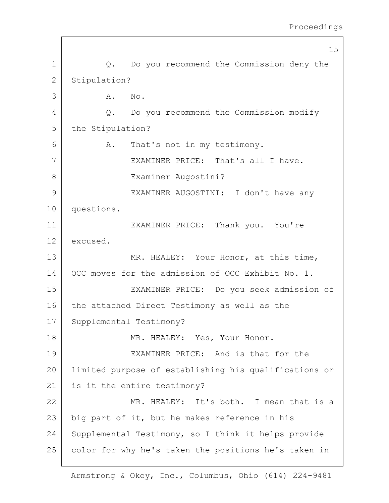|              | 15                                                    |  |
|--------------|-------------------------------------------------------|--|
| $\mathbf 1$  | Q. Do you recommend the Commission deny the           |  |
| $\mathbf{2}$ | Stipulation?                                          |  |
| 3            | Α.<br>No.                                             |  |
| 4            | Do you recommend the Commission modify<br>$Q$ .       |  |
| 5            | the Stipulation?                                      |  |
| 6            | That's not in my testimony.<br>Α.                     |  |
| 7            | EXAMINER PRICE: That's all I have.                    |  |
| 8            | Examiner Augostini?                                   |  |
| 9            | EXAMINER AUGOSTINI: I don't have any                  |  |
| 10           | questions.                                            |  |
| 11           | EXAMINER PRICE: Thank you. You're                     |  |
| 12           | excused.                                              |  |
| 13           | MR. HEALEY: Your Honor, at this time,                 |  |
| 14           | OCC moves for the admission of OCC Exhibit No. 1.     |  |
| 15           | EXAMINER PRICE: Do you seek admission of              |  |
| 16           | the attached Direct Testimony as well as the          |  |
| 17           | Supplemental Testimony?                               |  |
| 18           | MR. HEALEY: Yes, Your Honor.                          |  |
| 19           | EXAMINER PRICE: And is that for the                   |  |
| 20           | limited purpose of establishing his qualifications or |  |
| 21           | is it the entire testimony?                           |  |
| 22           | MR. HEALEY: It's both. I mean that is a               |  |
| 23           | big part of it, but he makes reference in his         |  |
| 24           | Supplemental Testimony, so I think it helps provide   |  |
| 25           | color for why he's taken the positions he's taken in  |  |
|              |                                                       |  |

 $\mathsf{I}$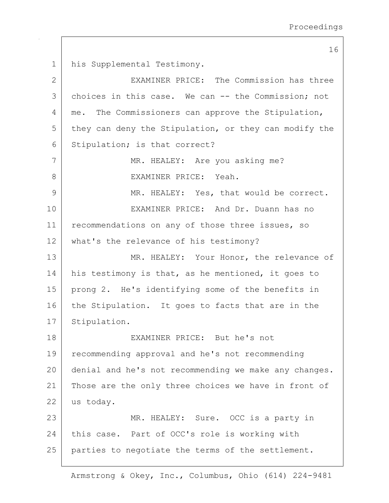16 1 his Supplemental Testimony. 2 EXAMINER PRICE: The Commission has three 3 choices in this case. We can -- the Commission; not 4 | me. The Commissioners can approve the Stipulation,  $5$  they can deny the Stipulation, or they can modify the 6 Stipulation; is that correct? 7 MR. HEALEY: Are you asking me? 8 BEXAMINER PRICE: Yeah. 9 MR. HEALEY: Yes, that would be correct. 10 EXAMINER PRICE: And Dr. Duann has no 11 recommendations on any of those three issues, so 12 what's the relevance of his testimony? 13 MR. HEALEY: Your Honor, the relevance of 14 | his testimony is that, as he mentioned, it goes to 15 prong 2. He's identifying some of the benefits in 16 the Stipulation. It goes to facts that are in the 17 Stipulation. 18 EXAMINER PRICE: But he's not 19 recommending approval and he's not recommending 20 denial and he's not recommending we make any changes. 21 | Those are the only three choices we have in front of 22 us today. 23 MR. HEALEY: Sure. OCC is a party in 24 this case. Part of OCC's role is working with 25 parties to negotiate the terms of the settlement.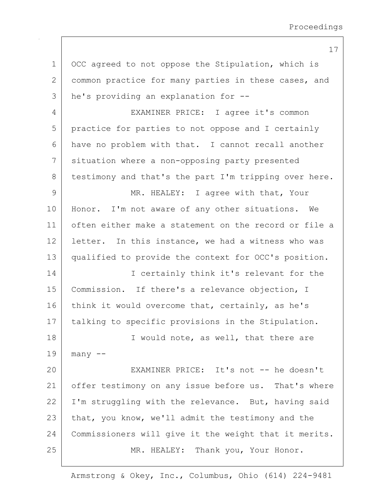17

1 OCC agreed to not oppose the Stipulation, which is 2 common practice for many parties in these cases, and 3 he's providing an explanation for -- 4 EXAMINER PRICE: I agree it's common 5 practice for parties to not oppose and I certainly 6 have no problem with that. I cannot recall another 7 situation where a non-opposing party presented 8 testimony and that's the part I'm tripping over here. 9 MR. HEALEY: I agree with that, Your 10 | Honor. I'm not aware of any other situations. We 11 often either make a statement on the record or file a 12 letter. In this instance, we had a witness who was 13 qualified to provide the context for OCC's position. 14 I certainly think it's relevant for the 15 Commission. If there's a relevance objection, I 16 think it would overcome that, certainly, as he's 17 | talking to specific provisions in the Stipulation. 18 | I would note, as well, that there are  $19$  many  $-$ 20 EXAMINER PRICE: It's not -- he doesn't 21 offer testimony on any issue before us. That's where  $22$  I'm struggling with the relevance. But, having said 23 that, you know, we'll admit the testimony and the 24 Commissioners will give it the weight that it merits. 25 | MR. HEALEY: Thank you, Your Honor.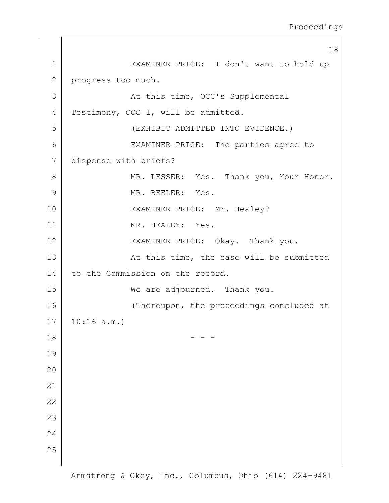```
18
1 EXAMINER PRICE: I don't want to hold up
2 progress too much.
3 |                 At this time, OCC's Supplemental
4 Testimony, OCC 1, will be admitted.
5 (EXHIBIT ADMITTED INTO EVIDENCE.)
6 EXAMINER PRICE: The parties agree to
7 dispense with briefs?
8 MR. LESSER: Yes. Thank you, Your Honor.
9 MR. BEELER: Yes.
10 | EXAMINER PRICE: Mr. Healey?
11 | MR. HEALEY: Yes.
12 | EXAMINER PRICE: Okay. Thank you.
13 | At this time, the case will be submitted
14 to the Commission on the record.
15 We are adjourned. Thank you.
16 (Thereupon, the proceedings concluded at
17 10:16 a.m.)
18 - - -
19
20
21
22
23
24
25
```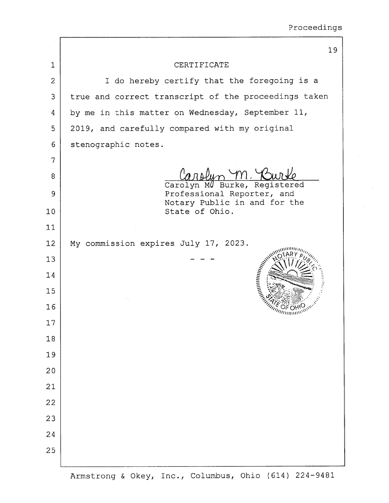|                | 19                                                         |
|----------------|------------------------------------------------------------|
| $\mathbf{1}$   | CERTIFICATE                                                |
| $\overline{2}$ | I do hereby certify that the foregoing is a                |
| 3              | true and correct transcript of the proceedings taken       |
| 4              | by me in this matter on Wednesday, September 11,           |
| 5              | 2019, and carefully compared with my original              |
| 6              | stenographic notes.                                        |
| 7              |                                                            |
| 8              |                                                            |
| 9              | Carolyn MU Burke, Registered<br>Professional Reporter, and |
| 10             | Notary Public in and for the<br>State of Ohio.             |
| 11             |                                                            |
| 12             | My commission expires July 17, 2023.                       |
| 13             |                                                            |
| 14             | AMMININING EX                                              |
| 15             |                                                            |
| 16             |                                                            |
| 17             |                                                            |
| 18             |                                                            |
| 19             |                                                            |
| 20             |                                                            |
| 21             |                                                            |
| 22             |                                                            |
| 23             |                                                            |
| 24             |                                                            |
| 25             |                                                            |
|                |                                                            |